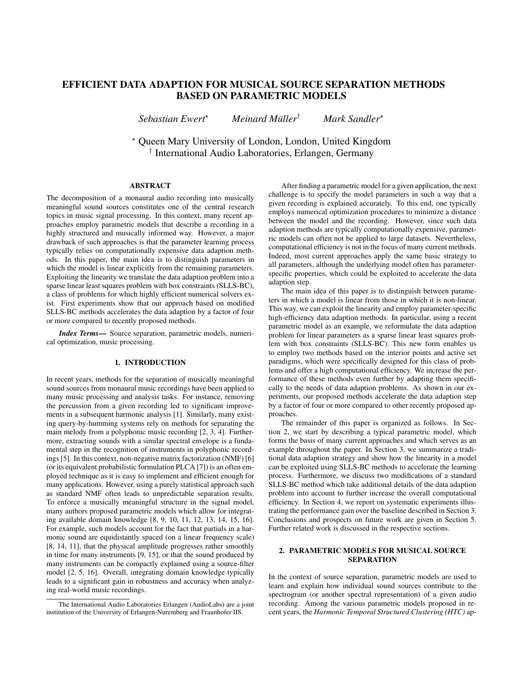# EFFICIENT DATA ADAPTION FOR MUSICAL SOURCE SEPARATION METHODS BASED ON PARAMETRIC MODELS

*Sebastian Ewert*? *Meinard Muller ¨* † *Mark Sandler*?

? Queen Mary University of London, London, United Kingdom † International Audio Laboratories, Erlangen, Germany

# ABSTRACT

The decomposition of a monaural audio recording into musically meaningful sound sources constitutes one of the central research topics in music signal processing. In this context, many recent approaches employ parametric models that describe a recording in a highly structured and musically informed way. However, a major drawback of such approaches is that the parameter learning process typically relies on computationally expensive data adaption methods. In this paper, the main idea is to distinguish parameters in which the model is linear explicitly from the remaining parameters. Exploiting the linearity we translate the data adaption problem into a sparse linear least squares problem with box constraints (SLLS-BC), a class of problems for which highly efficient numerical solvers exist. First experiments show that our approach based on modified SLLS-BC methods accelerates the data adaption by a factor of four or more compared to recently proposed methods.

*Index Terms*— Source separation, parametric models, numerical optimization, music processing.

## 1. INTRODUCTION

In recent years, methods for the separation of musically meaningful sound sources from monaural music recordings have been applied to many music processing and analysis tasks. For instance, removing the percussion from a given recording led to significant improvements in a subsequent harmonic analysis [\[1\]](#page-4-0). Similarly, many existing query-by-humming systems rely on methods for separating the main melody from a polyphonic music recording [\[2,](#page-4-1) [3,](#page-4-2) [4\]](#page-4-3). Furthermore, extracting sounds with a similar spectral envelope is a fundamental step in the recognition of instruments in polyphonic recordings [\[5\]](#page-4-4). In this context, non-negative matrix factorization (NMF) [\[6\]](#page-4-5) (or its equivalent probabilistic formulation PLCA [\[7\]](#page-4-6)) is an often employed technique as it is easy to implement and efficient enough for many applications. However, using a purely statistical approach such as standard NMF often leads to unpredictable separation results. To enforce a musically meaningful structure in the signal model, many authors proposed parametric models which allow for integrating available domain knowledge [\[8,](#page-4-7) [9,](#page-4-8) [10,](#page-4-9) [11,](#page-4-10) [12,](#page-4-11) [13,](#page-4-12) [14,](#page-4-13) [15,](#page-4-14) [16\]](#page-4-15). For example, such models account for the fact that partials in a harmonic sound are equidistantly spaced (on a linear frequency scale) [\[8,](#page-4-7) [14,](#page-4-13) [11\]](#page-4-10), that the physical amplitude progresses rather smoothly in time for many instruments [\[9,](#page-4-8) [15\]](#page-4-14), or that the sound produced by many instruments can be compactly explained using a source-filter model [\[2,](#page-4-1) [5,](#page-4-4) [16\]](#page-4-15). Overall, integrating domain knowledge typically leads to a significant gain in robustness and accuracy when analyzing real-world music recordings.

After finding a parametric model for a given application, the next challenge is to specify the model parameters in such a way that a given recording is explained accurately. To this end, one typically employs numerical optimization procedures to minimize a distance between the model and the recording. However, since such data adaption methods are typically computationally expensive, parametric models can often not be applied to large datasets. Nevertheless, computational efficiency is not in the focus of many current methods. Indeed, most current approaches apply the same basic strategy to all parameters, although the underlying model often has parameterspecific properties, which could be exploited to accelerate the data adaption step.

The main idea of this paper is to distinguish between parameters in which a model is linear from those in which it is non-linear. This way, we can exploit the linearity and employ parameter-specific high-efficiency data adaption methods. In particular, using a recent parametric model as an example, we reformulate the data adaption problem for linear parameters as a sparse linear least squares problem with box constraints (SLLS-BC). This new form enables us to employ two methods based on the interior points and active set paradigms, which were specifically designed for this class of problems and offer a high computational efficiency. We increase the performance of these methods even further by adapting them specifically to the needs of data adaption problems. As shown in our experiments, our proposed methods accelerate the data adaption step by a factor of four or more compared to other recently proposed approaches.

The remainder of this paper is organized as follows. In Section [2,](#page-0-0) we start by describing a typical parametric model, which forms the basis of many current approaches and which serves as an example throughout the paper. In Section [3,](#page-1-0) we summarize a traditional data adaption strategy and show how the linearity in a model can be exploited using SLLS-BC methods to accelerate the learning process. Furthermore, we discuss two modifications of a standard SLLS-BC method which take additional details of the data adaption problem into account to further increase the overall computational efficiency. In Section [4,](#page-3-0) we report on systematic experiments illustrating the performance gain over the baseline described in Section [3.](#page-1-0) Conclusions and prospects on future work are given in Section [5.](#page-3-1) Further related work is discussed in the respective sections.

## <span id="page-0-0"></span>2. PARAMETRIC MODELS FOR MUSICAL SOURCE SEPARATION

In the context of source separation, parametric models are used to learn and explain how individual sound sources contribute to the spectrogram (or another spectral representation) of a given audio recording. Among the various parametric models proposed in recent years, the *Harmonic Temporal Structured Clustering (HTC)* ap-

The International Audio Laboratories Erlangen (AudioLabs) are a joint institution of the University of Erlangen-Nuremberg and Fraunhofer IIS.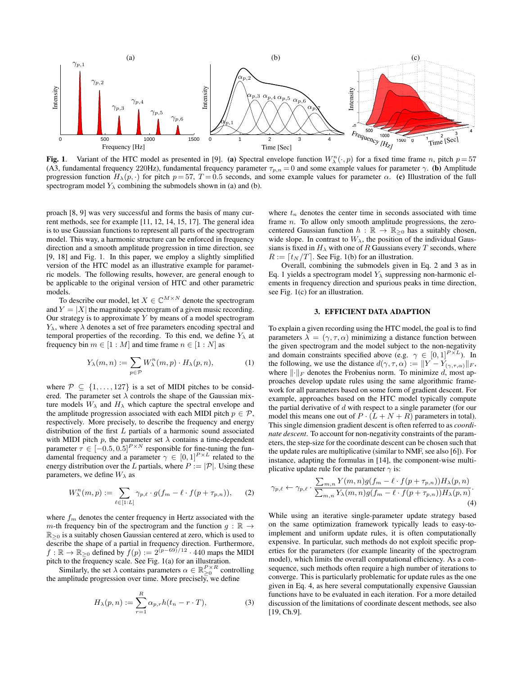

<span id="page-1-1"></span>Fig. 1. Variant of the HTC model as presented in [\[9\]](#page-4-8). (a) Spectral envelope function  $W_{\lambda}^{n}(\cdot,p)$  for a fixed time frame n, pitch  $p=57$ (A3, fundamental frequency 220Hz), fundamental frequency parameter  $\tau_{p,n} = 0$  and some example values for parameter  $\gamma$ . (b) Amplitude progression function  $H_{\lambda}(p, \cdot)$  for pitch  $p = 57$ ,  $T = 0.5$  seconds, and some example values for parameter  $\alpha$ . (c) Illustration of the full spectrogram model  $Y_{\lambda}$  combining the submodels shown in (a) and (b).

proach [\[8,](#page-4-7) [9\]](#page-4-8) was very successful and forms the basis of many current methods, see for example [\[11,](#page-4-10) [12,](#page-4-11) [14,](#page-4-13) [15,](#page-4-14) [17\]](#page-4-16). The general idea is to use Gaussian functions to represent all parts of the spectrogram model. This way, a harmonic structure can be enforced in frequency direction and a smooth amplitude progression in time direction, see [\[9,](#page-4-8) [18\]](#page-4-17) and Fig. [1.](#page-1-1) In this paper, we employ a slightly simplified version of the HTC model as an illustrative example for parametric models. The following results, however, are general enough to be applicable to the original version of HTC and other parametric models.

To describe our model, let  $X \in \mathbb{C}^{M \times N}$  denote the spectrogram and  $Y = |X|$  the magnitude spectrogram of a given music recording. Our strategy is to approximate  $Y$  by means of a model spectrogram  $Y_{\lambda}$ , where  $\lambda$  denotes a set of free parameters encoding spectral and temporal properties of the recording. To this end, we define  $Y_\lambda$  at frequency bin  $m \in [1 : M]$  and time frame  $n \in [1 : N]$  as

$$
Y_{\lambda}(m,n) := \sum_{p \in \mathcal{P}} W_{\lambda}^{n}(m,p) \cdot H_{\lambda}(p,n), \qquad (1)
$$

where  $\mathcal{P} \subseteq \{1, \ldots, 127\}$  is a set of MIDI pitches to be considered. The parameter set  $\lambda$  controls the shape of the Gaussian mixture models  $W_{\lambda}$  and  $H_{\lambda}$  which capture the spectral envelope and the amplitude progression associated with each MIDI pitch  $p \in \mathcal{P}$ , respectively. More precisely, to describe the frequency and energy distribution of the first L partials of a harmonic sound associated with MIDI pitch p, the parameter set  $\lambda$  contains a time-dependent parameter  $\tau \in [-0.5, 0.5]^{P \times N}$  responsible for fine-tuning the fundamental frequency and a parameter  $\gamma \in [0,1]^{P \times L}$  related to the energy distribution over the L partials, where  $P := |\mathcal{P}|$ . Using these parameters, we define  $W_{\lambda}$  as

$$
W_{\lambda}^{n}(m, p) := \sum_{\ell \in [1:L]} \gamma_{p,\ell} \cdot g(f_m - \ell \cdot f(p + \tau_{p,n})), \qquad (2)
$$

where  $f_m$  denotes the center frequency in Hertz associated with the m-th frequency bin of the spectrogram and the function  $g : \mathbb{R} \to$  $\mathbb{R}_{\geq 0}$  is a suitably chosen Gaussian centered at zero, which is used to describe the shape of a partial in frequency direction. Furthermore,  $f : \mathbb{R} \to \mathbb{R}_{\geq 0}$  defined by  $f(p) := 2^{(p-69)/12} \cdot 440$  maps the MIDI pitch to the frequency scale. See Fig. [1\(](#page-1-1)a) for an illustration.

Similarly, the set  $\lambda$  contains parameters  $\alpha \in \mathbb{R}_{\geq 0}^{P \times R}$  controlling the amplitude progression over time. More precisely, we define

$$
H_{\lambda}(p,n) := \sum_{r=1}^{R} \alpha_{p,r} h(t_n - r \cdot T), \qquad (3)
$$

where  $t_n$  denotes the center time in seconds associated with time frame n. To allow only smooth amplitude progressions, the zerocentered Gaussian function  $h : \mathbb{R} \to \mathbb{R}_{\geq 0}$  has a suitably chosen, wide slope. In contrast to  $W_{\lambda}$ , the position of the individual Gaussians is fixed in  $H_{\lambda}$  with one of R Gaussians every T seconds, where  $R := [t_N / T]$ . See Fig. [1\(](#page-1-1)b) for an illustration.

Overall, combining the submodels given in Eq. [2](#page-1-2) and [3](#page-1-3) as in Eq. [1](#page-1-4) yields a spectrogram model  $Y_{\lambda}$  suppressing non-harmonic elements in frequency direction and spurious peaks in time direction, see Fig. [1\(](#page-1-1)c) for an illustration.

### 3. EFFICIENT DATA ADAPTION

<span id="page-1-4"></span><span id="page-1-0"></span>To explain a given recording using the HTC model, the goal is to find parameters  $\lambda = (\gamma, \tau, \alpha)$  minimizing a distance function between the given spectrogram and the model subject to the non-negativity and domain constraints specified above (e.g.  $\gamma \in [0,1]^{P \times L}$ ). In the following, we use the distance  $d(\gamma, \tau, \alpha) := ||Y - Y_{(\gamma, \tau, \alpha)}||_F$ , where  $\lVert \cdot \rVert_F$  denotes the Frobenius norm. To minimize d, most approaches develop update rules using the same algorithmic framework for all parameters based on some form of gradient descent. For example, approaches based on the HTC model typically compute the partial derivative of  $d$  with respect to a single parameter (for our model this means one out of  $P \cdot (L + N + R)$  parameters in total). This single dimension gradient descent is often referred to as *coordinate descent*. To account for non-negativity constraints of the parameters, the step-size for the coordinate descent can be chosen such that the update rules are multiplicative (similar to NMF, see also [\[6\]](#page-4-5)). For instance, adapting the formulas in [\[14\]](#page-4-13), the component-wise multiplicative update rule for the parameter  $\gamma$  is:

<span id="page-1-5"></span><span id="page-1-2"></span>
$$
\gamma_{p,\ell} \leftarrow \gamma_{p,\ell} \cdot \frac{\sum_{m,n} Y(m,n) g(f_m - \ell \cdot f(p + \tau_{p,n})) H_\lambda(p,n)}{\sum_{m,n} Y_\lambda(m,n) g(f_m - \ell \cdot f(p + \tau_{p,n})) H_\lambda(p,n)}.
$$
\n(4)

<span id="page-1-3"></span>While using an iterative single-parameter update strategy based on the same optimization framework typically leads to easy-toimplement and uniform update rules, it is often computationally expensive. In particular, such methods do not exploit specific properties for the parameters (for example linearity of the spectrogram model), which limits the overall computational efficiency. As a consequence, such methods often require a high number of iterations to converge. This is particularly problematic for update rules as the one given in Eq. [4,](#page-1-5) as here several computationally expensive Gaussian functions have to be evaluated in each iteration. For a more detailed discussion of the limitations of coordinate descent methods, see also [\[19,](#page-4-18) Ch.9].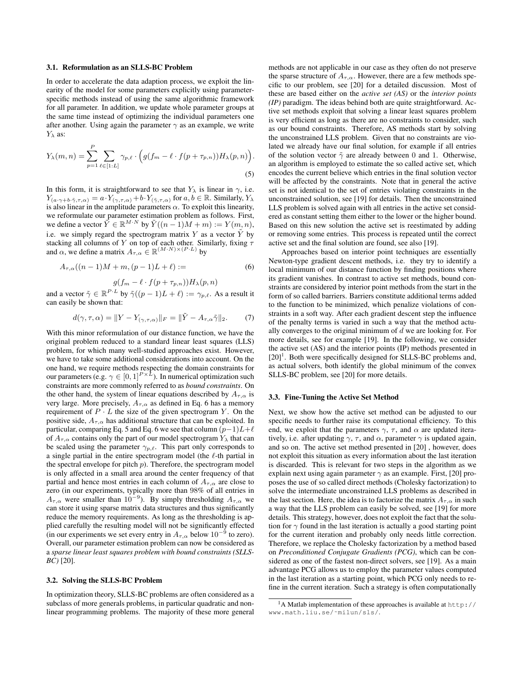#### 3.1. Reformulation as an SLLS-BC Problem

In order to accelerate the data adaption process, we exploit the linearity of the model for some parameters explicitly using parameterspecific methods instead of using the same algorithmic framework for all parameter. In addition, we update whole parameter groups at the same time instead of optimizing the individual parameters one after another. Using again the parameter  $\gamma$  as an example, we write  $Y_\lambda$  as:

$$
Y_{\lambda}(m,n) = \sum_{p=1}^{P} \sum_{\ell \in [1:L]} \gamma_{p,\ell} \cdot \Big(g(f_m - \ell \cdot f(p + \tau_{p,n}))H_{\lambda}(p,n)\Big).
$$
\n(5)

In this form, it is straightforward to see that  $Y_{\lambda}$  is linear in  $\gamma$ , i.e.  $Y_{(a\cdot\gamma+b\cdot\tilde\gamma,\tau,\alpha)} = a\cdot Y_{(\gamma,\tau,\alpha)} + b\cdot Y_{(\tilde\gamma,\tau,\alpha)}$  for  $a,b\in\mathbb{R}$ . Similarly,  $Y_\lambda$ is also linear in the amplitude parameters  $\alpha$ . To exploit this linearity, we reformulate our parameter estimation problem as follows. First, we define a vector  $\tilde{Y} \in \mathbb{R}^{M \cdot N}$  by  $\tilde{Y}((n-1)M + m) := Y(m, n)$ , i.e. we simply regard the spectrogram matrix Y as a vector  $\tilde{Y}$  by stacking all columns of Y on top of each other. Similarly, fixing  $\tau$ and  $\alpha$ , we define a matrix  $A_{\tau,\alpha} \in \mathbb{R}^{(M \cdot N) \times (P \cdot L)}$  by

$$
A_{\tau,\alpha}((n-1)M + m, (p-1)L + \ell) := \tag{6}
$$

$$
g(f_m - \ell \cdot f(p + \tau_{p,n})) H_\lambda(p, n)
$$

and a vector  $\tilde{\gamma} \in \mathbb{R}^{P \cdot L}$  by  $\tilde{\gamma}((p-1)L + \ell) := \gamma_{p,\ell}$ . As a result it can easily be shown that:

$$
d(\gamma, \tau, \alpha) = \|Y - Y_{(\gamma, \tau, \alpha)}\|_F = \|\tilde{Y} - A_{\tau, \alpha}\tilde{\gamma}\|_2. \tag{7}
$$

With this minor reformulation of our distance function, we have the original problem reduced to a standard linear least squares (LLS) problem, for which many well-studied approaches exist. However, we have to take some additional considerations into account. On the one hand, we require methods respecting the domain constraints for our parameters (e.g.  $\gamma \in [0,1]^{P \times L}$ ). In numerical optimization such constraints are more commonly referred to as *bound constraints*. On the other hand, the system of linear equations described by  $A_{\tau,\alpha}$  is very large. More precisely,  $A_{\tau,\alpha}$  as defined in Eq. [6](#page-2-0) has a memory requirement of  $P \cdot L$  the size of the given spectrogram Y. On the positive side,  $A_{\tau,\alpha}$  has additional structure that can be exploited. In particular, comparing Eq. [5](#page-2-1) and Eq. [6](#page-2-0) we see that column  $(p-1)L+\ell$ of  $A_{\tau,\alpha}$  contains only the part of our model spectrogram  $Y_\lambda$  that can be scaled using the parameter  $\gamma_{p,\ell}$ . This part only corresponds to a single partial in the entire spectrogram model (the  $\ell$ -th partial in the spectral envelope for pitch  $p$ ). Therefore, the spectrogram model is only affected in a small area around the center frequency of that partial and hence most entries in each column of  $A_{\tau,\alpha}$  are close to zero (in our experiments, typically more than 98% of all entries in  $A_{\tau,\alpha}$  were smaller than  $10^{-9}$ ). By simply thresholding  $A_{\tau,\alpha}$  we can store it using sparse matrix data structures and thus significantly reduce the memory requirements. As long as the thresholding is applied carefully the resulting model will not be significantly effected (in our experiments we set every entry in  $A_{\tau,\alpha}$  below  $10^{-9}$  to zero). Overall, our parameter estimation problem can now be considered as a *sparse linear least squares problem with bound constraints (SLLS-BC)* [\[20\]](#page-4-19).

## 3.2. Solving the SLLS-BC Problem

In optimization theory, SLLS-BC problems are often considered as a subclass of more generals problems, in particular quadratic and nonlinear programming problems. The majority of these more general methods are not applicable in our case as they often do not preserve the sparse structure of  $A_{\tau,\alpha}$ . However, there are a few methods specific to our problem, see [\[20\]](#page-4-19) for a detailed discussion. Most of these are based either on the *active set (AS)* or the *interior points (IP)* paradigm. The ideas behind both are quite straightforward. Active set methods exploit that solving a linear least squares problem is very efficient as long as there are no constraints to consider, such as our bound constraints. Therefore, AS methods start by solving the unconstrained LLS problem. Given that no constraints are violated we already have our final solution, for example if all entries of the solution vector  $\tilde{\gamma}$  are already between 0 and 1. Otherwise, an algorithm is employed to estimate the so called active set, which encodes the current believe which entries in the final solution vector will be affected by the constraints. Note that in general the active set is not identical to the set of entries violating constraints in the unconstrained solution, see [\[19\]](#page-4-18) for details. Then the unconstrained LLS problem is solved again with all entries in the active set considered as constant setting them either to the lower or the higher bound. Based on this new solution the active set is reestimated by adding or removing some entries. This process is repeated until the correct active set and the final solution are found, see also [\[19\]](#page-4-18).

<span id="page-2-1"></span><span id="page-2-0"></span>Approaches based on interior point techniques are essentially Newton-type gradient descent methods, i.e. they try to identify a local minimum of our distance function by finding positions where its gradient vanishes. In contrast to active set methods, bound constraints are considered by interior point methods from the start in the form of so called barriers. Barriers constitute additional terms added to the function to be minimized, which penalize violations of constraints in a soft way. After each gradient descent step the influence of the penalty terms is varied in such a way that the method actually converges to the original minimum of d we are looking for. For more details, see for example [\[19\]](#page-4-18). In the following, we consider the active set (AS) and the interior points (IP) methods presented in [\[20\]](#page-4-19)<sup>[1](#page-2-2)</sup>. Both were specifically designed for SLLS-BC problems and, as actual solvers, both identify the global minimum of the convex SLLS-BC problem, see [\[20\]](#page-4-19) for more details.

### <span id="page-2-3"></span>3.3. Fine-Tuning the Active Set Method

Next, we show how the active set method can be adjusted to our specific needs to further raise its computational efficiency. To this end, we exploit that the parameters  $\gamma$ ,  $\tau$ , and  $\alpha$  are updated iteratively, i.e. after updating  $\gamma$ ,  $\tau$ , and  $\alpha$ , parameter  $\gamma$  is updated again, and so on. The active set method presented in [\[20\]](#page-4-19) , however, does not exploit this situation as every information about the last iteration is discarded. This is relevant for two steps in the algorithm as we explain next using again parameter  $\gamma$  as an example. First, [\[20\]](#page-4-19) proposes the use of so called direct methods (Cholesky factorization) to solve the intermediate unconstrained LLS problems as described in the last section. Here, the idea is to factorize the matrix  $A_{\tau,\alpha}$  in such a way that the LLS problem can easily be solved, see [\[19\]](#page-4-18) for more details. This strategy, however, does not exploit the fact that the solution for  $\gamma$  found in the last iteration is actually a good starting point for the current iteration and probably only needs little correction. Therefore, we replace the Cholesky factorization by a method based on *Preconditioned Conjugate Gradients (PCG)*, which can be considered as one of the fastest non-direct solvers, see [\[19\]](#page-4-18). As a main advantage PCG allows us to employ the parameter values computed in the last iteration as a starting point, which PCG only needs to refine in the current iteration. Such a strategy is often computationally

<span id="page-2-2"></span><sup>1</sup>A Matlab implementation of these approaches is available at [http://](http://www.math.liu.se/~milun/sls/) [www.math.liu.se/˜milun/sls/](http://www.math.liu.se/~milun/sls/).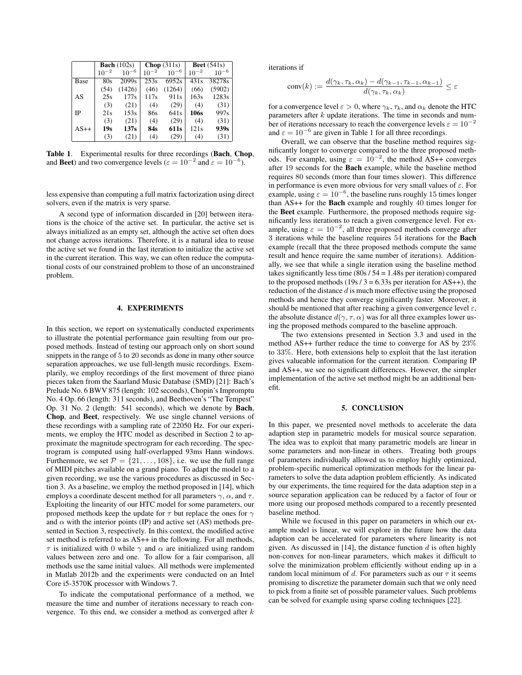|        | <b>Bach</b> $(102s)$ |                   | Chop $(311s)$ |                  | <b>Beet</b> $(541s)$ |           |
|--------|----------------------|-------------------|---------------|------------------|----------------------|-----------|
|        | $10^{-2}$            | $10^{-6}$         | 10            | $10^{-6}$        | $10^{-2}$            | $10^{-6}$ |
| Base   | 80s                  | 2099 <sub>s</sub> | 253s          | 6952s            | 431s                 | 38278s    |
|        | (54)                 | (1426)            | (46)          | (1264)           | (66)                 | (5902)    |
| AS     | 25s                  | 177s              | 117s          | 911 <sub>s</sub> | 163s                 | 1283s     |
|        | (3)                  | (21)              | (4)           | (29)             | (4)                  | (31)      |
| IΡ     | 21s                  | 153s              | 86s           | 641s             | 106s                 | 997s      |
|        | (3)                  | (21)              | (4)           | (29)             | (4)                  | (31)      |
| $AS++$ | 19s                  | 137s              | 84s           | 611s             | 121s                 | 939s      |
|        | (3)                  | (21)              | (4)           | (29)             | (4)                  | (31)      |

<span id="page-3-2"></span>Table 1. Experimental results for three recordings (Bach, Chop, and **Beet**) and two convergence levels ( $\varepsilon = 10^{-2}$  and  $\varepsilon = 10^{-6}$ ).

less expensive than computing a full matrix factorization using direct solvers, even if the matrix is very sparse.

A second type of information discarded in [\[20\]](#page-4-19) between iterations is the choice of the active set. In particular, the active set is always initialized as an empty set, although the active set often does not change across iterations. Therefore, it is a natural idea to reuse the active set we found in the last iteration to initialize the active set in the current iteration. This way, we can often reduce the computational costs of our constrained problem to those of an unconstrained problem.

# 4. EXPERIMENTS

<span id="page-3-0"></span>In this section, we report on systematically conducted experiments to illustrate the potential performance gain resulting from our proposed methods. Instead of testing our approach only on short sound snippets in the range of 5 to 20 seconds as done in many other source separation approaches, we use full-length music recordings. Exemplarily, we employ recordings of the first movement of three piano pieces taken from the Saarland Music Database (SMD) [\[21\]](#page-4-20): Bach's Prelude No. 6 BWV 875 (length: 102 seconds), Chopin's Impromptu No. 4 Op. 66 (length: 311 seconds), and Beethoven's "The Tempest" Op. 31 No. 2 (length: 541 seconds), which we denote by Bach, Chop, and Beet, respectively. We use single channel versions of these recordings with a sampling rate of 22050 Hz. For our experiments, we employ the HTC model as described in Section [2](#page-0-0) to approximate the magnitude spectrogram for each recording. The spectrogram is computed using half-overlapped 93ms Hann windows. Furthermore, we set  $\mathcal{P} = \{21, \ldots, 108\}$ , i.e. we use the full range of MIDI pitches available on a grand piano. To adapt the model to a given recording, we use the various procedures as discussed in Section [3.](#page-1-0) As a baseline, we employ the method proposed in [\[14\]](#page-4-13), which employs a coordinate descent method for all parameters  $\gamma$ ,  $\alpha$ , and  $\tau$ . Exploiting the linearity of our HTC model for some parameters, our proposed methods keep the update for  $\tau$  but replace the ones for  $\gamma$ and  $\alpha$  with the interior points (IP) and active set (AS) methods presented in Section [3,](#page-1-0) respectively. In this context, the modified active set method is referred to as AS++ in the following. For all methods,  $\tau$  is initialized with 0 while  $\gamma$  and  $\alpha$  are initialized using random values between zero and one. To allow for a fair comparison, all methods use the same initial values. All methods were implemented in Matlab 2012b and the experiments were conducted on an Intel Core i5-3570K processor with Windows 7.

To indicate the computational performance of a method, we measure the time and number of iterations necessary to reach convergence. To this end, we consider a method as converged after k

iterations if

$$
conv(k) := \frac{d(\gamma_k, \tau_k, \alpha_k) - d(\gamma_{k-1}, \tau_{k-1}, \alpha_{k-1})}{d(\gamma_k, \tau_k, \alpha_k)} \le \varepsilon
$$

for a convergence level  $\varepsilon > 0$ , where  $\gamma_k$ ,  $\tau_k$ , and  $\alpha_k$  denote the HTC parameters after k update iterations. The time in seconds and number of iterations necessary to reach the convergence levels  $\varepsilon = 10^{-2}$ and  $\varepsilon = 10^{-6}$  $\varepsilon = 10^{-6}$  $\varepsilon = 10^{-6}$  are given in Table 1 for all three recordings.

Overall, we can observe that the baseline method requires significantly longer to converge compared to the three proposed methods. For example, using  $\varepsilon = 10^{-2}$ , the method AS++ converges after 19 seconds for the Bach example, while the baseline method requires 80 seconds (more than four times slower). This difference in performance is even more obvious for very small values of  $\varepsilon$ . For example, using  $\varepsilon = 10^{-6}$ , the baseline runs roughly 15 times longer than AS++ for the Bach example and roughly 40 times longer for the Beet example. Furthermore, the proposed methods require significantly less iterations to reach a given convergence level. For example, using  $\varepsilon = 10^{-2}$ , all three proposed methods converge after 3 iterations while the baseline requires 54 iterations for the Bach example (recall that the three proposed methods compute the same result and hence require the same number of iterations). Additionally, we see that while a single iteration using the baseline method takes significantly less time (80s / 54 = 1.48s per iteration) compared to the proposed methods  $(19s / 3 = 6.33s$  per iteration for AS++), the reduction of the distance  $d$  is much more effective using the proposed methods and hence they converge significantly faster. Moreover, it should be mentioned that after reaching a given convergence level  $\varepsilon$ , the absolute distance  $d(\gamma, \tau, \alpha)$  was for all three examples lower using the proposed methods compared to the baseline approach.

The two extensions presented in Section [3.3](#page-2-3) and used in the method AS++ further reduce the time to converge for AS by 23% to 33%. Here, both extensions help to exploit that the last iteration gives valueable information for the current iteration. Comparing IP and AS++, we see no significant differences. However, the simpler implementation of the active set method might be an additional benefit.

# 5. CONCLUSION

<span id="page-3-1"></span>In this paper, we presented novel methods to accelerate the data adaption step in parametric models for musical source separation. The idea was to exploit that many parametric models are linear in some parameters and non-linear in others. Treating both groups of parameters individually allowed us to employ highly optimized, problem-specific numerical optimization methods for the linear parameters to solve the data adaption problem efficiently. As indicated by our experiments, the time required for the data adaption step in a source separation application can be reduced by a factor of four or more using our proposed methods compared to a recently presented baseline method.

While we focused in this paper on parameters in which our example model is linear, we will explore in the future how the data adaption can be accelerated for parameters where linearity is not given. As discussed in [\[14\]](#page-4-13), the distance function  $d$  is often highly non-convex for non-linear parameters, which makes it difficult to solve the minimization problem efficiently without ending up in a random local minimum of d. For parameters such as our  $\tau$  it seems promising to discretize the parameter domain such that we only need to pick from a finite set of possible parameter values. Such problems can be solved for example using sparse coding techniques [\[22\]](#page-4-21).